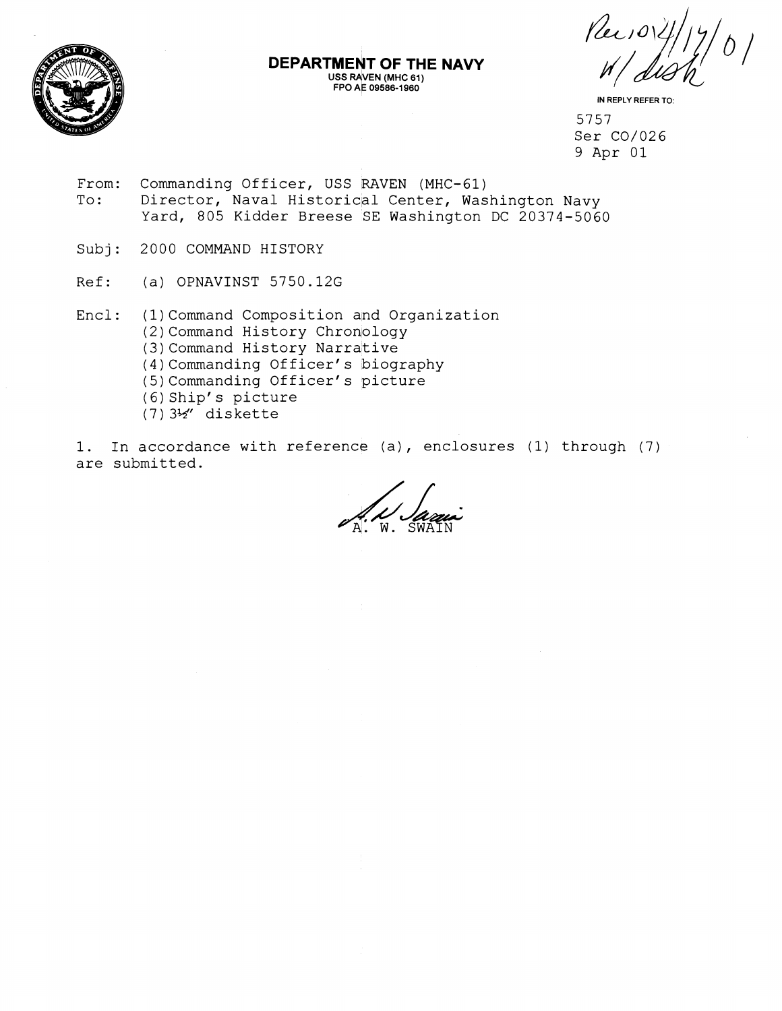

IN REPLY REFER TO:

5757 Ser C0/026 9 Apr 01

From: Commanding Officer, USS RAVEN (MHC-61) To: Director, Naval Historical Center, Washington Navy Yard, 805 Kidder Breese SE Washington DC 20374-5060

**DEPARTMENT OF THE NAVY USS RAVEN (MHC 61) FPO% 09586-1960** 

- Subj: 2000 COMMAND HISTORY
- Ref: (a) OPNAVINST 5750.12G
- Encl: (1) Command Composition and Organization (2) Command History Chronology (3) Command History Narrative (4)Commanding Officer's biography (5)Commanding Officer's picture  $(6)$  Ship's picture (7) 3%" diskette
- 1. In accordance with reference (a), enclosures (1) through (7) are submitted.

 $\frac{1}{A!}$   $\frac{1}{W}$ . SWAIN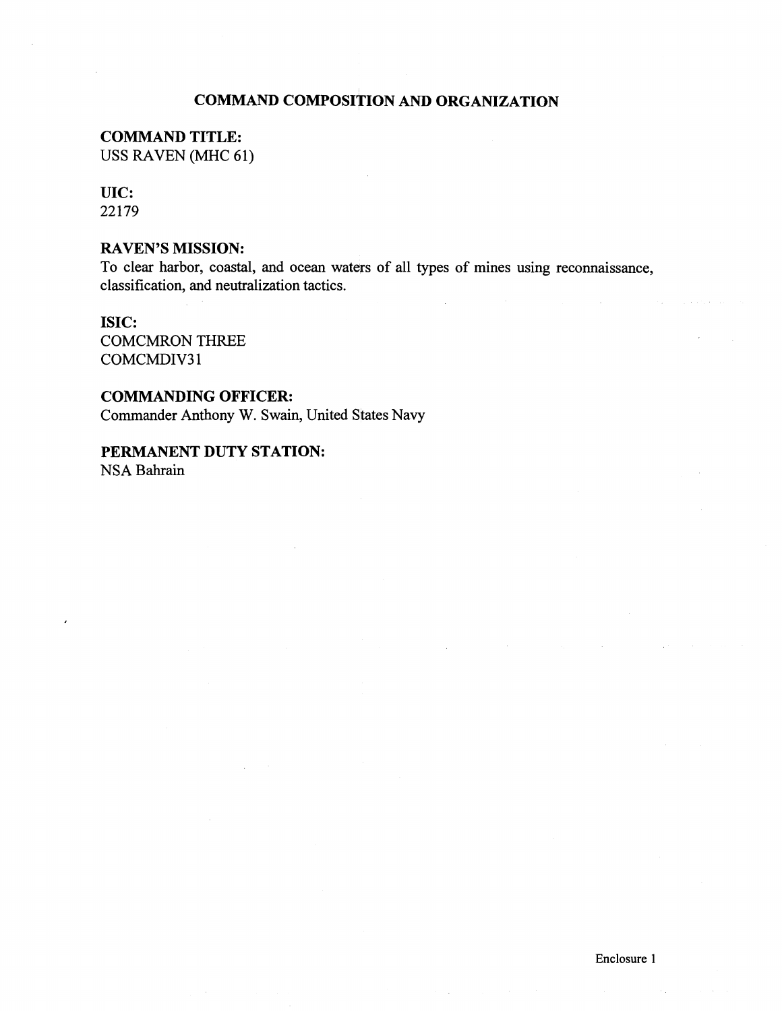## **COMMAND COMPOSITION AND ORGANIZATION**

# **COMMAND TITLE:**

USS RAVEN (MHC 61)

## **UIC:**

**22 179** 

## **RAVEN'S MISSION:**

To clear harbor, coastal, and ocean waters of all types of mines using reconnaissance, classification, and neutralization tactics.

### **ISIC:**

COMCMRON THREE COMCMDIV31

#### **COMMANDING OFFICER:**

Commander Anthony **W.** Swain, United States Navy

## **PERMANENT DUTY STATION:**  NSA Bahrain

 $\mathcal{L}_{\mathcal{L}}$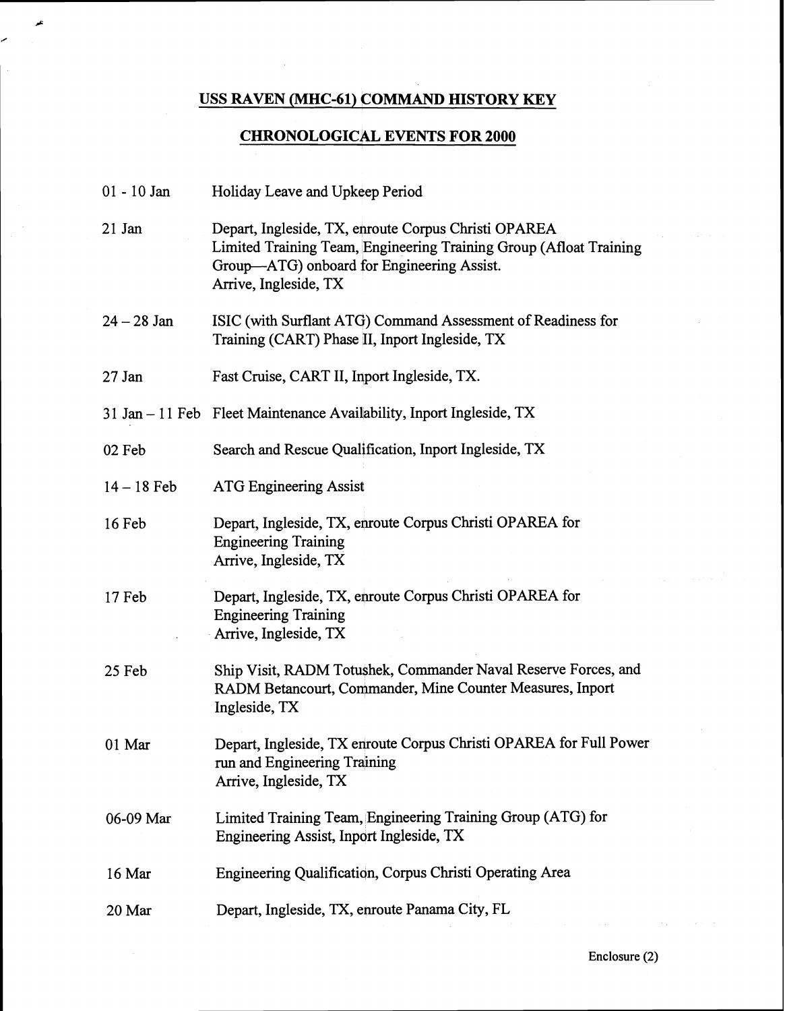# **USS RAVEN (MHC-61) COMMAND HISTORY KEY**

عر

z

# **CHRONOLOGICAL EVENTS FOR 2000**

| 01 - 10 Jan   | Holiday Leave and Upkeep Period                                                                                                                                                                   |
|---------------|---------------------------------------------------------------------------------------------------------------------------------------------------------------------------------------------------|
| 21 Jan        | Depart, Ingleside, TX, enroute Corpus Christi OPAREA<br>Limited Training Team, Engineering Training Group (Afloat Training<br>Group—ATG) onboard for Engineering Assist.<br>Arrive, Ingleside, TX |
| $24 - 28$ Jan | ISIC (with Surflant ATG) Command Assessment of Readiness for<br>Training (CART) Phase II, Inport Ingleside, TX                                                                                    |
| 27 Jan        | Fast Cruise, CART II, Inport Ingleside, TX.                                                                                                                                                       |
|               | 31 Jan – 11 Feb Fleet Maintenance Availability, Inport Ingleside, TX                                                                                                                              |
| 02 Feb        | Search and Rescue Qualification, Inport Ingleside, TX                                                                                                                                             |
| $14 - 18$ Feb | <b>ATG Engineering Assist</b>                                                                                                                                                                     |
| $16$ Feb      | Depart, Ingleside, TX, enroute Corpus Christi OPAREA for<br><b>Engineering Training</b><br>Arrive, Ingleside, TX                                                                                  |
| 17 Feb        | Depart, Ingleside, TX, enroute Corpus Christi OPAREA for<br><b>Engineering Training</b><br>Arrive, Ingleside, TX                                                                                  |
| 25 Feb        | Ship Visit, RADM Totushek, Commander Naval Reserve Forces, and<br>RADM Betancourt, Commander, Mine Counter Measures, Inport<br>Ingleside, TX                                                      |
| 01 Mar        | Depart, Ingleside, TX enroute Corpus Christi OPAREA for Full Power<br>run and Engineering Training<br>Arrive, Ingleside, TX                                                                       |
| 06-09 Mar     | Limited Training Team, Engineering Training Group (ATG) for<br>Engineering Assist, Inport Ingleside, TX                                                                                           |
| 16 Mar        | Engineering Qualification, Corpus Christi Operating Area                                                                                                                                          |
| 20 Mar        | Depart, Ingleside, TX, enroute Panama City, FL                                                                                                                                                    |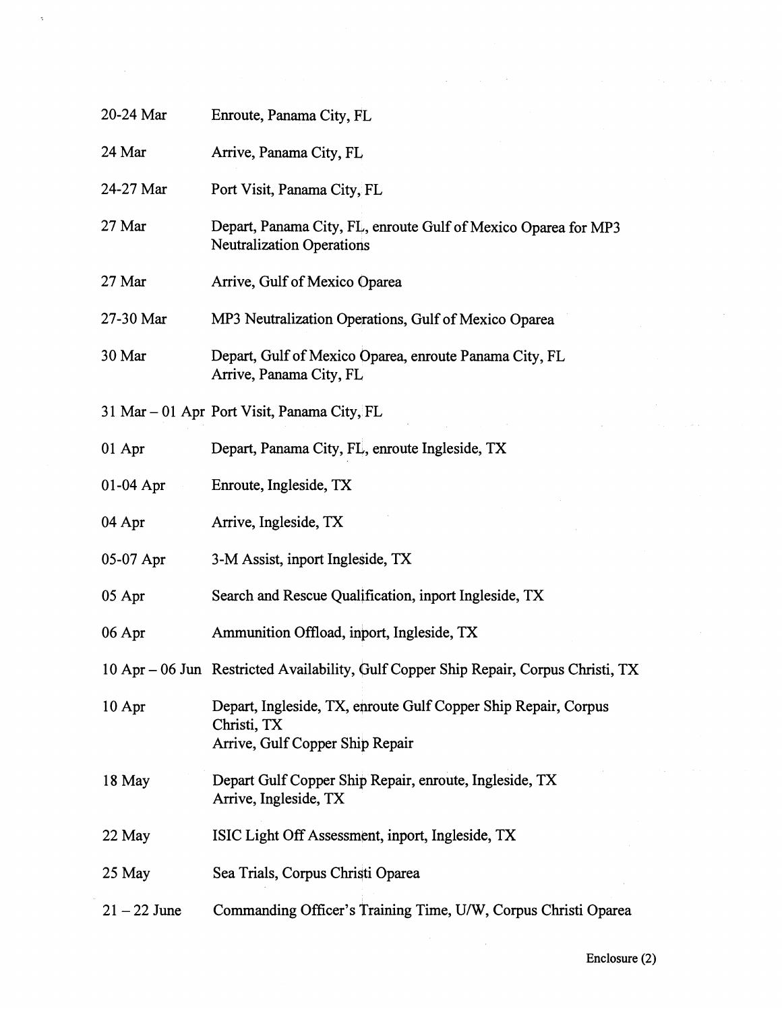| 20-24 Mar      | Enroute, Panama City, FL                                                                                         |
|----------------|------------------------------------------------------------------------------------------------------------------|
| 24 Mar         | Arrive, Panama City, FL                                                                                          |
| 24-27 Mar      | Port Visit, Panama City, FL                                                                                      |
| 27 Mar         | Depart, Panama City, FL, enroute Gulf of Mexico Oparea for MP3<br><b>Neutralization Operations</b>               |
| 27 Mar         | Arrive, Gulf of Mexico Oparea                                                                                    |
| 27-30 Mar      | MP3 Neutralization Operations, Gulf of Mexico Oparea                                                             |
| 30 Mar         | Depart, Gulf of Mexico Oparea, enroute Panama City, FL<br>Arrive, Panama City, FL                                |
|                | 31 Mar - 01 Apr Port Visit, Panama City, FL                                                                      |
| 01 Apr         | Depart, Panama City, FL, enroute Ingleside, TX                                                                   |
| $01-04$ Apr    | Enroute, Ingleside, TX                                                                                           |
| 04 Apr         | Arrive, Ingleside, TX                                                                                            |
| 05-07 Apr      | 3-M Assist, inport Ingleside, TX                                                                                 |
| 05 Apr         | Search and Rescue Qualification, inport Ingleside, TX                                                            |
| 06 Apr         | Ammunition Offload, inport, Ingleside, TX                                                                        |
|                | 10 Apr - 06 Jun Restricted Availability, Gulf Copper Ship Repair, Corpus Christi, TX                             |
| 10 Apr         | Depart, Ingleside, TX, enroute Gulf Copper Ship Repair, Corpus<br>Christi, TX<br>Arrive, Gulf Copper Ship Repair |
| 18 May         | Depart Gulf Copper Ship Repair, enroute, Ingleside, TX<br>Arrive, Ingleside, TX                                  |
| 22 May         | ISIC Light Off Assessment, inport, Ingleside, TX                                                                 |
| 25 May         | Sea Trials, Corpus Christi Oparea                                                                                |
| $21 - 22$ June | Commanding Officer's Training Time, U/W, Corpus Christi Oparea                                                   |

 $\mathcal{L}^{\mathcal{L}}$ 

 $\alpha$ 

 $\ddot{\phantom{1}}$ 

 $\sim$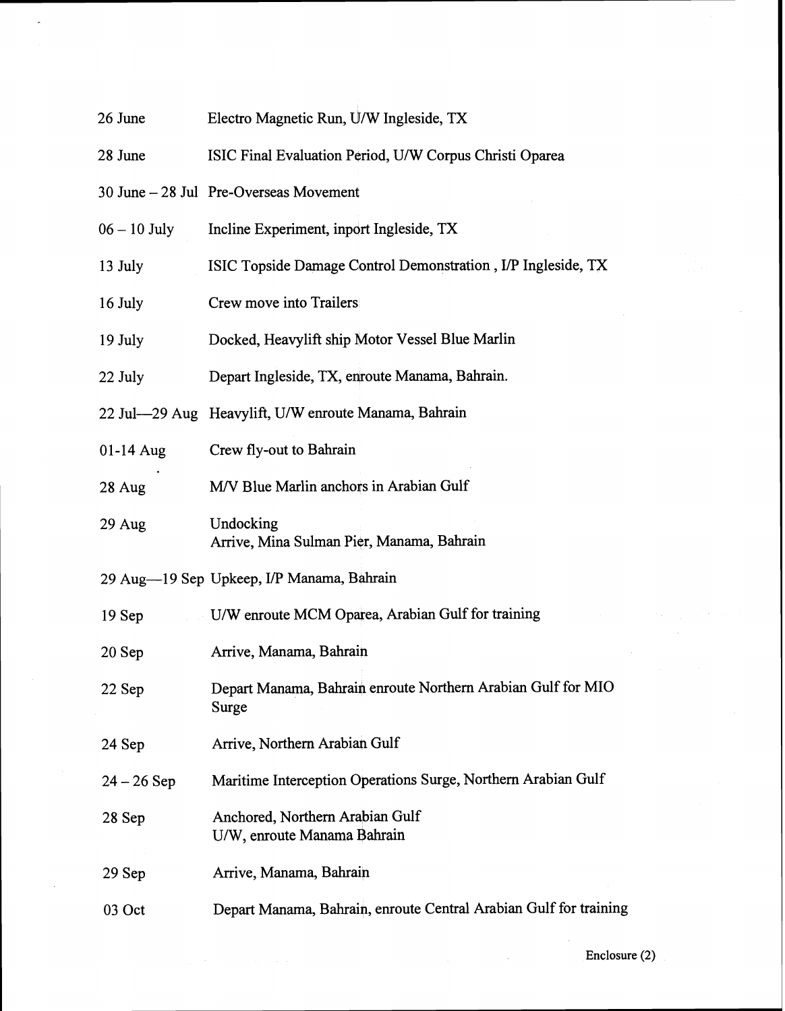| 26 June        | Electro Magnetic Run, U/W Ingleside, TX                               |
|----------------|-----------------------------------------------------------------------|
| 28 June        | ISIC Final Evaluation Period, U/W Corpus Christi Oparea               |
|                | 30 June - 28 Jul Pre-Overseas Movement                                |
| $06 - 10$ July | Incline Experiment, inport Ingleside, TX                              |
| 13 July        | ISIC Topside Damage Control Demonstration, I/P Ingleside, TX          |
| 16 July        | Crew move into Trailers                                               |
| 19 July        | Docked, Heavylift ship Motor Vessel Blue Marlin                       |
| 22 July        | Depart Ingleside, TX, enroute Manama, Bahrain.                        |
|                | 22 Jul—29 Aug Heavylift, U/W enroute Manama, Bahrain                  |
| 01-14 Aug      | Crew fly-out to Bahrain                                               |
| 28 Aug         | M/V Blue Marlin anchors in Arabian Gulf                               |
| $29$ Aug       | Undocking<br>Arrive, Mina Sulman Pier, Manama, Bahrain                |
|                | 29 Aug—19 Sep Upkeep, I/P Manama, Bahrain                             |
| $19$ Sep       | U/W enroute MCM Oparea, Arabian Gulf for training                     |
| $20$ Sep       | Arrive, Manama, Bahrain                                               |
| 22 Sep         | Depart Manama, Bahrain enroute Northern Arabian Gulf for MIO<br>Surge |
| 24 Sep         | Arrive, Northern Arabian Gulf                                         |
| $24 - 26$ Sep  | Maritime Interception Operations Surge, Northern Arabian Gulf         |
| 28 Sep         | Anchored, Northern Arabian Gulf<br>U/W, enroute Manama Bahrain        |
| $29$ Sep       | Arrive, Manama, Bahrain                                               |
| 03 Oct         | Depart Manama, Bahrain, enroute Central Arabian Gulf for training     |

 $\mathbb{R}^2$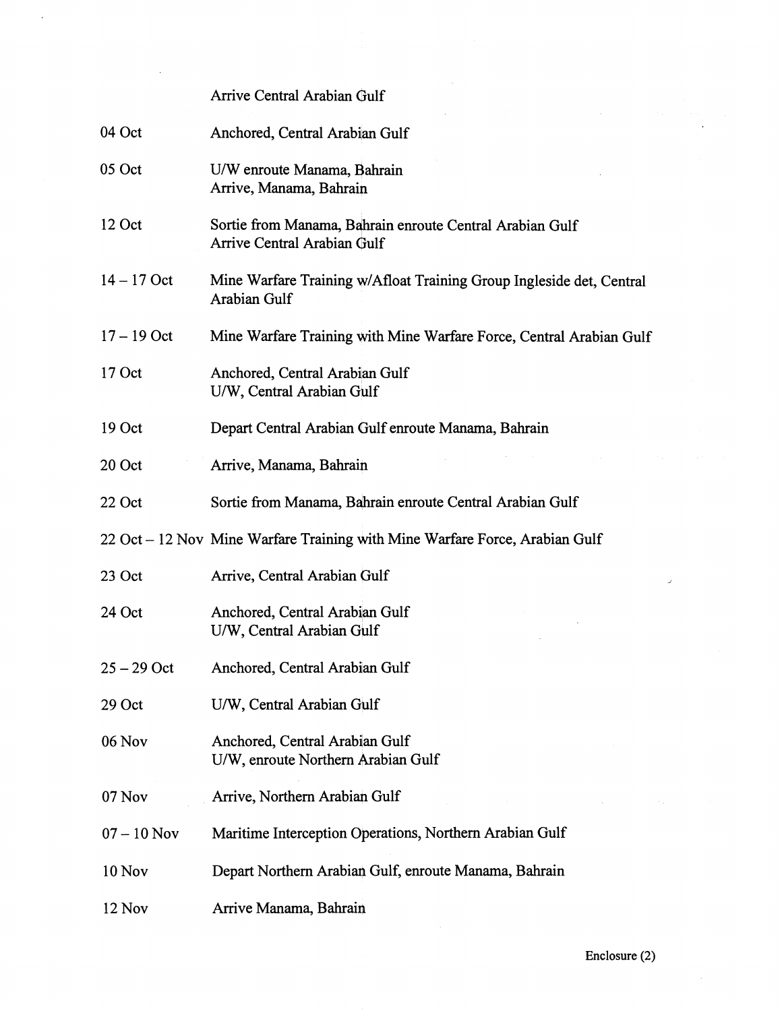Arrive Central Arabian Gulf

| 04 Oct        | Anchored, Central Arabian Gulf                                                              |
|---------------|---------------------------------------------------------------------------------------------|
| 05 Oct        | U/W enroute Manama, Bahrain<br>Arrive, Manama, Bahrain                                      |
| 12 Oct        | Sortie from Manama, Bahrain enroute Central Arabian Gulf<br>Arrive Central Arabian Gulf     |
| $14 - 17$ Oct | Mine Warfare Training w/Afloat Training Group Ingleside det, Central<br><b>Arabian Gulf</b> |
| $17 - 19$ Oct | Mine Warfare Training with Mine Warfare Force, Central Arabian Gulf                         |
| $17$ Oct      | Anchored, Central Arabian Gulf<br>U/W, Central Arabian Gulf                                 |
| 19 Oct        | Depart Central Arabian Gulf enroute Manama, Bahrain                                         |
| 20 Oct        | Arrive, Manama, Bahrain                                                                     |
| 22 Oct        | Sortie from Manama, Bahrain enroute Central Arabian Gulf                                    |
|               | 22 Oct – 12 Nov Mine Warfare Training with Mine Warfare Force, Arabian Gulf                 |
| 23 Oct        | Arrive, Central Arabian Gulf                                                                |
| 24 Oct        | Anchored, Central Arabian Gulf<br>U/W, Central Arabian Gulf                                 |
| $25 - 29$ Oct | Anchored, Central Arabian Gulf                                                              |
| 29 Oct        | U/W, Central Arabian Gulf                                                                   |
| 06 Nov        | Anchored, Central Arabian Gulf<br>U/W, enroute Northern Arabian Gulf                        |
| 07 Nov        | Arrive, Northern Arabian Gulf                                                               |
| $07 - 10$ Nov | Maritime Interception Operations, Northern Arabian Gulf                                     |
| <b>10 Nov</b> | Depart Northern Arabian Gulf, enroute Manama, Bahrain                                       |
| 12 Nov        | Arrive Manama, Bahrain                                                                      |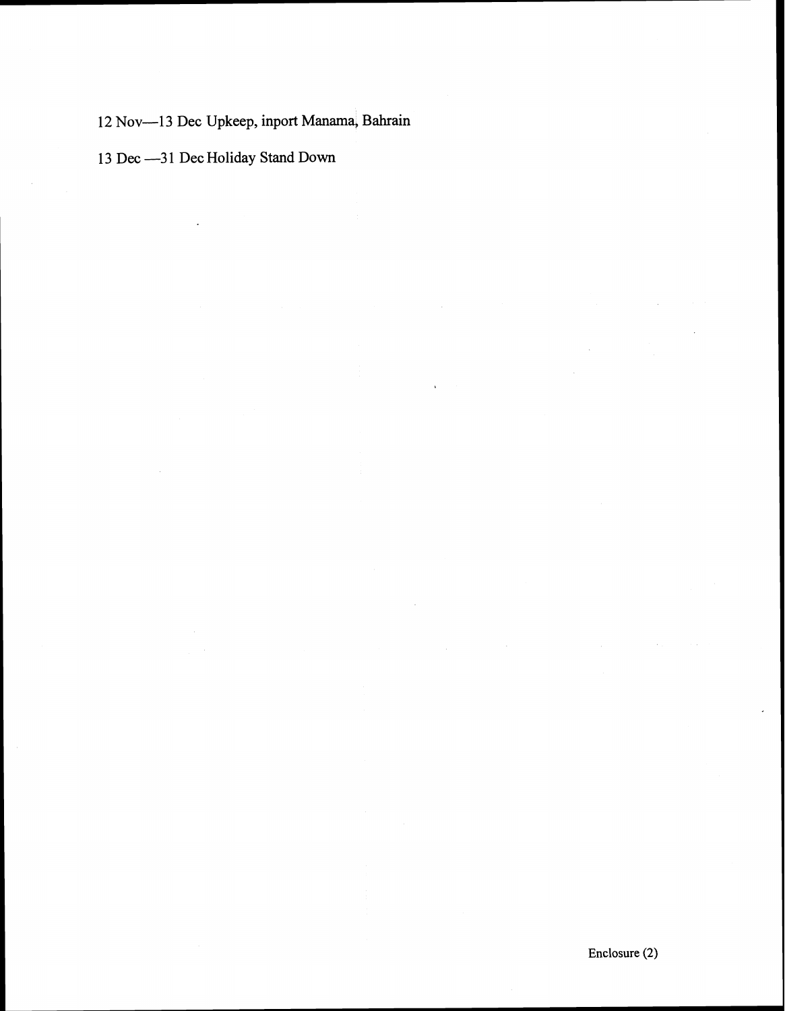12 Nov-13 Dec Upkeep, inport Manama, Bahrain

13 Dec --- 31 Dec Holiday Stand Down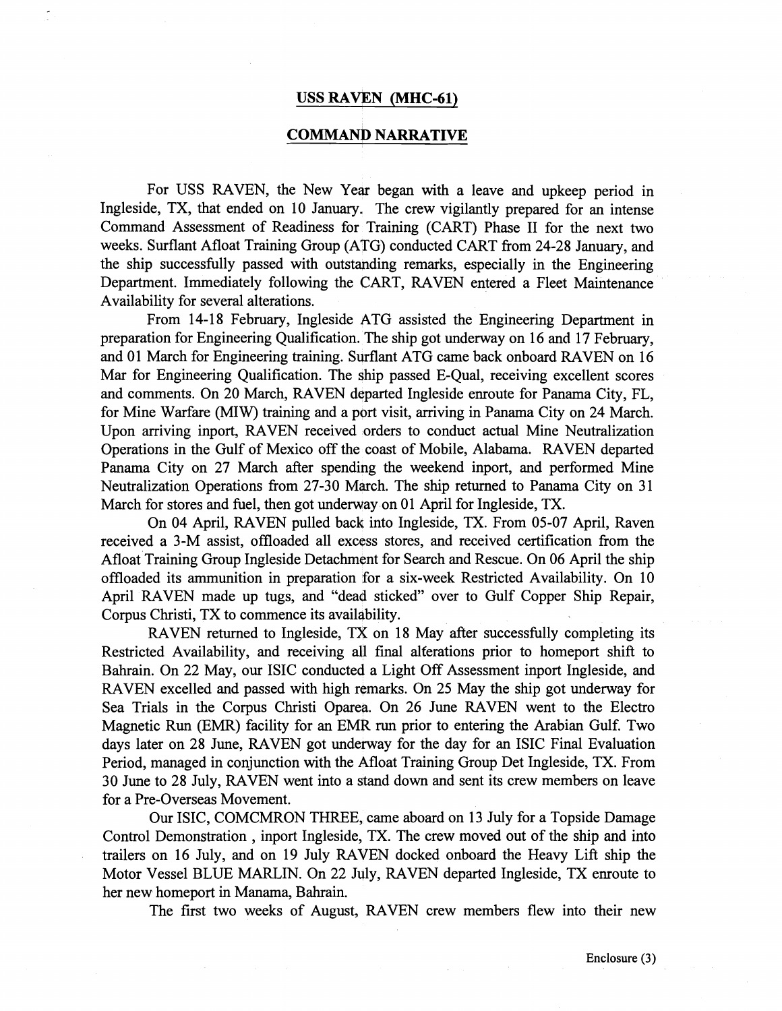#### **USS RAVEN (MHC-61)**

#### **COMMAND NARRATIVE**

For USS RAVEN, the New Year began with a leave and upkeep period in Ingleside, TX, that ended on 10 January, The crew vigilantly prepared for an intense Command Assessment of Readiness for Training (CART) Phase I1 for the next two weeks. Surflant Afloat Training Group (ATG) conducted CART from 24-28 January, and the ship successfully passed with outstapding remarks, especially in the Engineering Department. Immediately following the CART, RAVEN entered a Fleet Maintenance Availability for several alterations.

From 14-18 February, Ingleside ATG assisted the Engineering Department in preparation for Engineering Qualification. The ship got underway on 16 and 17 February, and 01 March for Engineering training. Surflant ATG came back onboard RAVEN on 16 Mar for Engineering Qualification. The ship passed E-Qual, receiving excellent scores and comments. On 20 March, RAVEN departed Ingleside enroute for Panama City, FL, for Mine Warfare (MIW) training and a port visit, arriving in Panama City on 24 March. Upon arriving inport, RAVEN received orders to conduct actual Mine Neutralization Operations in the Gulf of Mexico off the coast of Mobile, Alabama. RAVEN departed Panama City on 27 March after spending the weekend inport, and performed Mine Neutralization Operations fiom 27-30 March. The ship returned to Panama City on 31 March for stores and fuel, then got underway on 01 April for Ingleside, TX.

On 04 April, RAVEN pulled bach into Ingleside, TX. From 05-07 April, Raven received a 3-M assist, offloaded all excess stores, and received certification fiom the Afloat Training Group Ingleside Detachment for Search and Rescue. On 06 April the ship offloaded its ammunition in preparation for a six-week Restricted Availability. On 10 April RAVEN made up tugs, and "dead sticked" over to Gulf Copper Ship Repair, Corpus Christi, TX to commence its availability.

RAVEN returned to Ingleside, TX on 18 May after successfully completing its Restricted Availability, and receiving all final alferations prior to homeport shift to Bahrain. On 22 May, our ISIC conducted a Light Off Assessment inport Ingleside, and RAVEN excelled and passed with high remarks. On 25 May the ship got underway for Sea Trials in the Corpus Christi Oparea. On 26 June RAVEN went to the Electro Magnetic Run (EMR) facility for an EMR run prior to entering the Arabian Gulf. Two days later on 28 June, RAVEN got underway for the day for an ISIC Final Evaluation Period, managed in conjunction with the Afloat Training Group Det Ingleside, TX. From 30 June to 28 July, RAVEN went into a stand down and sent its crew members on leave for a Pre-Overseas Movement.

Our ISIC, COMCMRON THREE, came aboard on 13 July for a Topside Damage Control Demonstration , inport Ingleside, TX. The crew moved out of the ship and into trailers on 16 July, and on 19 July RAVEN docked onboard the Heavy Lift ship the Motor Vessel BLUE MARLIN. On 22 July, RAVEN departed Ingleside, TX enroute to her new homeport in Manama, Bahrain.

The first two weeks of August, RAVEN crew members flew into their new